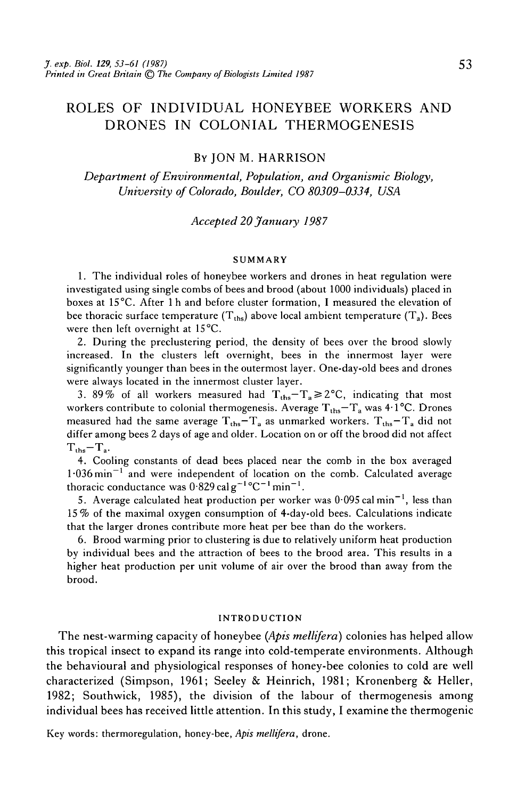# ROLES OF INDIVIDUAL HONEYBEE WORKERS AND DRONES IN COLONIAL THERMOGENESIS

### BY JON M. HARRISON

*Department of Environmental, Population, and Organismic Biology, University of Colorado, Boulder, CO 80309-0334, USA*

### *Accepted 20 January 1987*

#### SUMMARY

1. The individual roles of honeybee workers and drones in heat regulation were investigated using single combs of bees and brood (about 1000 individuals) placed in boxes at 1S°C. After l h and before cluster formation, I measured the elevation of bee thoracic surface temperature  $(T_{ths})$  above local ambient temperature  $(T_a)$ . Bees were then left overnight at 15<sup>°</sup>C.

2. During the preclustering period, the density of bees over the brood slowly increased. In the clusters left overnight, bees in the innermost layer were significantly younger than bees in the outermost layer. One-day-old bees and drones were always located in the innermost cluster layer.

3. 89% of all workers measured had  $T_{\text{ths}} - T_a \ge 2$ °C, indicating that most workers contribute to colonial thermogenesis. Average  $T_{\text{ths}} - T_a$  was 4.1°C. Drones measured had the same average  $T_{\text{ths}} - T_a$  as unmarked workers.  $T_{\text{ths}} - T_a$  did not differ among bees 2 days of age and older. Location on or off the brood did not affect  $T_{\text{ths}} - T_{\text{a}}$ .

4. Cooling constants of dead bees placed near the comb in the box averaged  $1.036$  min<sup>-1</sup> and were independent of location on the comb. Calculated average thoracic conductance was  $0.829$  cal g<sup>-1</sup>°C<sup>-1</sup> min<sup>-1</sup>.

5. Average calculated heat production per worker was  $0.095$  cal min<sup>-1</sup>, less than 15 % of the maximal oxygen consumption of 4-day-old bees. Calculations indicate that the larger drones contribute more heat per bee than do the workers.

6. Brood warming prior to clustering is due to relatively uniform heat production by individual bees and the attraction of bees to the brood area. This results in a higher heat production per unit volume of air over the brood than away from the brood.

#### INTRODUCTION

The nest-warming capacity of honeybee *(Apis mellifera)* colonies has helped allow this tropical insect to expand its range into cold-temperate environments. Although the behavioural and physiological responses of honey-bee colonies to cold are well characterized (Simpson, 1961; Seeley & Heinrich, 1981; Kronenberg & Heller, 1982; Southwick, 1985), the division of the labour of thermogenesis among individual bees has received little attention. In this study, I examine the thermogenic

Key words: thermoregulation, honey-bee, *Apis mellifera,* drone.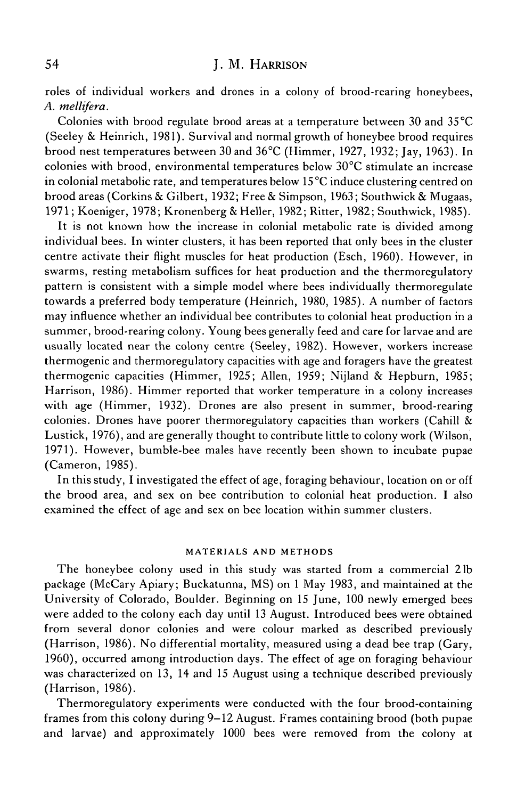# 54 **J. M. HARRISON**

roles of individual workers and drones in a colony of brood-rearing honeybees, *A. mellifera.*

Colonies with brood regulate brood areas at a temperature between 30 and 35 °C (Seeley & Heinrich, 1981). Survival and normal growth of honeybee brood requires brood nest temperatures between 30 and 36°C (Himmer, 1927, 1932; Jay, 1963). In colonies with brood, environmental temperatures below 30°C stimulate an increase in colonial metabolic rate, and temperatures below 15 °C induce clustering centred on brood areas (Corkins & Gilbert, 1932; Free & Simpson, 1963; Southwick & Mugaas, 1971; Koeniger, 1978; Kronenberg & Heller, 1982; Ritter, 1982; Southwick, 1985).

It is not known how the increase in colonial metabolic rate is divided among individual bees. In winter clusters, it has been reported that only bees in the cluster centre activate their flight muscles for heat production (Esch, 1960). However, in swarms, resting metabolism suffices for heat production and the thermoregulatory pattern is consistent with a simple model where bees individually thermoregulate towards a preferred body temperature (Heinrich, 1980, 1985). A number of factors may influence whether an individual bee contributes to colonial heat production in a summer, brood-rearing colony. Young bees generally feed and care for larvae and are usually located near the colony centre (Seeley, 1982). However, workers increase thermogenic and thermoregulatory capacities with age and foragers have the greatest thermogenic capacities (Himmer, 1925; Allen, 1959; Nijland & Hepburn, 1985; Harrison, 1986). Himmer reported that worker temperature in a colony increases with age (Himmer, 1932). Drones are also present in summer, brood-rearing colonies. Drones have poorer thermoregulatory capacities than workers (Cahill  $\&$ Lustick, 1976), and are generally thought to contribute little to colony work (Wilson, 1971). However, bumble-bee males have recently been shown to incubate pupae (Cameron, 1985).

In this study, I investigated the effect of age, foraging behaviour, location on or off the brood area, and sex on bee contribution to colonial heat production. I also examined the effect of age and sex on bee location within summer clusters.

### MATERIALS AND METHODS

The honeybee colony used in this study was started from a commercial 21b package (McCary Apiary; Buckatunna, MS) on 1 May 1983, and maintained at the University of Colorado, Boulder. Beginning on 15 June, 100 newly emerged bees were added to the colony each day until 13 August. Introduced bees were obtained from several donor colonies and were colour marked as described previously (Harrison, 1986). No differential mortality, measured using a dead bee trap (Gary, 1960), occurred among introduction days. The effect of age on foraging behaviour was characterized on 13, 14 and 15 August using a technique described previously (Harrison, 1986).

Thermoregulatory experiments were conducted with the four brood-containing frames from this colony during 9—12 August. Frames containing brood (both pupae and larvae) and approximately 1000 bees were removed from the colony at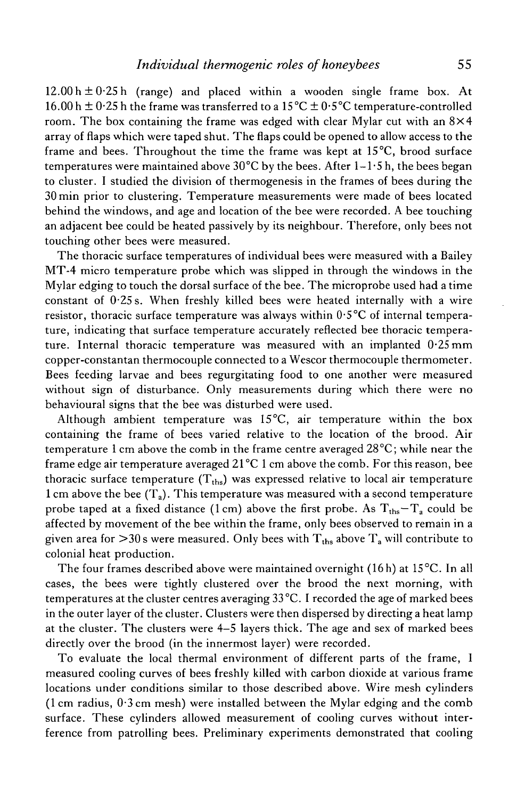$12.00 h \pm 0.25 h$  (range) and placed within a wooden single frame box. At 16.00 h  $\pm$  0.25 h the frame was transferred to a 15 °C  $\pm$  0.5 °C temperature-controlled room. The box containing the frame was edged with clear Mylar cut with an  $8\times4$ array of flaps which were taped shut. The flaps could be opened to allow access to the frame and bees. Throughout the time the frame was kept at 15°C, brood surface temperatures were maintained above  $30^{\circ}$ C by the bees. After 1–1 $\cdot$ 5 h, the bees began to cluster. I studied the division of thermogenesis in the frames of bees during the 30min prior to clustering. Temperature measurements were made of bees located behind the windows, and age and location of the bee were recorded. A bee touching an adjacent bee could be heated passively by its neighbour. Therefore, only bees not touching other bees were measured.

The thoracic surface temperatures of individual bees were measured with a Bailey MT-4 micro temperature probe which was slipped in through the windows in the Mylar edging to touch the dorsal surface of the bee. The microprobe used had a time constant of 0-25 s. When freshly killed bees were heated internally with a wire resistor, thoracic surface temperature was always within  $0.5^{\circ}\text{C}$  of internal temperature, indicating that surface temperature accurately reflected bee thoracic temperature. Internal thoracic temperature was measured with an implanted 0-25 mm copper-constantan thermocouple connected to a Wescor thermocouple thermometer. Bees feeding larvae and bees regurgitating food to one another were measured without sign of disturbance. Only measurements during which there were no behavioural signs that the bee was disturbed were used.

Although ambient temperature was 15°C, air temperature within the box containing the frame of bees varied relative to the location of the brood. Air temperature 1 cm above the comb in the frame centre averaged 28 °C; while near the frame edge air temperature averaged  $21^{\circ}$ C 1 cm above the comb. For this reason, bee thoracic surface temperature  $(T_{ths})$  was expressed relative to local air temperature 1 cm above the bee  $(T_a)$ . This temperature was measured with a second temperature probe taped at a fixed distance (1 cm) above the first probe. As  $T_{\text{ths}} - T_a$  could be affected by movement of the bee within the frame, only bees observed to remain in a given area for  $>30$  s were measured. Only bees with  $T_{\text{ths}}$  above  $T_a$  will contribute to colonial heat production.

The four frames described above were maintained overnight (16h) at 15 °C. In all cases, the bees were tightly clustered over the brood the next morning, with temperatures at the cluster centres averaging 33 °C. I recorded the age of marked bees in the outer layer of the cluster. Clusters were then dispersed by directing a heat lamp at the cluster. The clusters were 4-5 layers thick. The age and sex of marked bees directly over the brood (in the innermost layer) were recorded.

To evaluate the local thermal environment of different parts of the frame, I measured cooling curves of bees freshly killed with carbon dioxide at various frame locations under conditions similar to those described above. Wire mesh cylinders (1 cm radius, 0- 3 cm mesh) were installed between the Mylar edging and the comb surface. These cylinders allowed measurement of cooling curves without interference from patrolling bees. Preliminary experiments demonstrated that cooling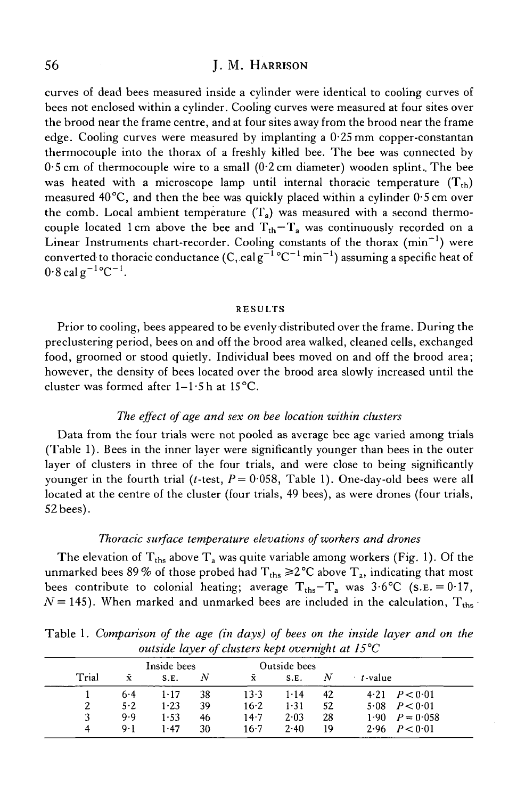## 56 J. M. HARRISON

curves of dead bees measured inside a cylinder were identical to cooling curves of bees not enclosed within a cylinder. Cooling curves were measured at four sites over the brood near the frame centre, and at four sites away from the brood near the frame edge. Cooling curves were measured by implanting a  $0.25$  mm copper-constantan thermocouple into the thorax of a freshly killed bee. The bee was connected by  $0.5$  cm of thermocouple wire to a small  $(0.2 \text{ cm}$  diameter) wooden splint. The bee was heated with a microscope lamp until internal thoracic temperature  $(T_{th})$ measured 40°C, and then the bee was quickly placed within a cylinder 0-5 cm over the comb. Local ambient temperature  $(T_a)$  was measured with a second thermocouple located 1 cm above the bee and  $T_{th}-T_a$  was continuously recorded on a Linear Instruments chart-recorder. Cooling constants of the thorax  $(\text{min}^{-1})$  were converted to thoracic conductance  $(C, \text{cal}g^{-1} \text{°C}^{-1} \text{min}^{-1})$  assuming a specific heat of  $0.8$  cal  $g^{-1}$ °C<sup>-1</sup>.

#### RESULTS

Prior to cooling, bees appeared to be evenly distributed over the frame. During the preclustering period, bees on and off the brood area walked, cleaned cells, exchanged food, groomed or stood quietly. Individual bees moved on and off the brood area; however, the density of bees located over the brood area slowly increased until the cluster was formed after  $1-1.5$  h at  $15^{\circ}$ C.

### *The effect of age and sex on bee location within clusters*

Data from the four trials were not pooled as average bee age varied among trials (Table 1). Bees in the inner layer were significantly younger than bees in the outer layer of clusters in three of the four trials, and were close to being significantly younger in the fourth trial (*t*-test,  $P = 0.058$ , Table 1). One-day-old bees were all located at the centre of the cluster (four trials, 49 bees), as were drones (four trials, 52 bees).

### *Thoracic surface temperature elevations of workers and drones*

The elevation of  $T_{\text{ths}}$  above  $T_a$  was quite variable among workers (Fig. 1). Of the unmarked bees 89% of those probed had  $T_{ths} \ge 2^{\circ}C$  above  $T_a$ , indicating that most bees contribute to colonial heating; average  $T_{\text{ths}} - T_a$  was 3.6°C (S.E. = 0.17,  $N = 145$ ). When marked and unmarked bees are included in the calculation,  $T_{\text{ths}}$ .

| Trial | Inside bees |          |    | Outside bees       |          |    |                        |
|-------|-------------|----------|----|--------------------|----------|----|------------------------|
|       | Ÿ.          | S.E.     | Ν  | $\bar{\mathbf{x}}$ | S.E.     | N  | t-value                |
|       | $6 - 4$     | $1 - 17$ | 38 | $13-3$             | $1 - 14$ | 42 | $4.21$ $P < 0.01$      |
|       | $5-2$       | $1-23$   | 39 | $16 - 2$           | 1.31     | 52 | 5.08 $P < 0.01$        |
|       | 9.9         | 1-53     | 46 | $14-7$             | 2.03     | 28 | $1.90 \quad P = 0.058$ |
| 4     | $9 - 1$     | 1.47     | 30 | $16-7$             | 2.40     | 19 | 2.96 $P < 0.01$        |

Table 1. *Comparison of the age (in days) of bees on the inside layer and on the outside layer of clusters kept overnight at 15°C*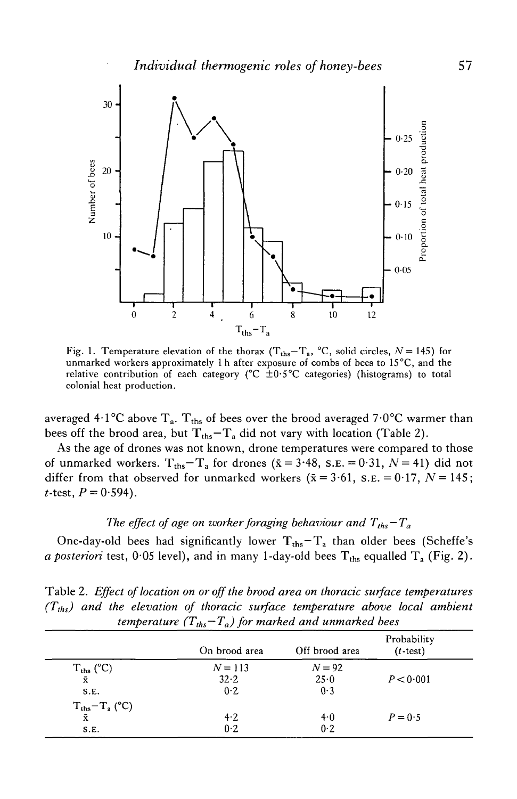

Fig. 1. Temperature elevation of the thorax  $(T_{\text{ths}} - T_a)$ , °C, solid circles,  $N = 145$ ) for unmarked workers approximately 1 h after exposure of combs of bees to 15°C, and the relative contribution of each category ( ${}^{\circ}C \pm 0.5{}^{\circ}C$  categories) (histograms) to total colonial heat production.

averaged 4·1°C above  $\rm T_a$ .  $\rm T_{ths}$  of bees over the brood averaged 7·0°C warmer than bees off the brood area, but  $T_{\text{ths}} - T_a$  did not vary with location (Table 2).

As the age of drones was not known, drone temperatures were compared to those of unmarked workers.  $T_{\text{ths}} - T_a$  for drones ( $\bar{x} = 3.48$ , s.e. = 0.31,  $N = 41$ ) did not differ from that observed for unmarked workers ( $\bar{x} = 3.61$ , s.e. = 0.17, *N* = 145; *t*-test,  $P = 0.594$ .

# *The effect of age on worker foraging behaviour and*  $T_{ths} - T_a$

One-day-old bees had significantly lower  $T_{\text{ths}} - T_a$  than older bees (Scheffe's *a posteriori* test,  $0.05$  level), and in many 1-day-old bees  $T_{\text{ths}}$  equalled  $T_a$  (Fig. 2).

Table 2. *Effect of location on or off the brood area on thoracic surface temperatures (Tths) and the elevation of thoracic surface temperature above local ambient temperature*  $(T_{ths}-T_a)$  for marked and unmarked bees

|                              | On brood area | Off brood area | Probability<br>$(t$ -test) |  |
|------------------------------|---------------|----------------|----------------------------|--|
|                              | $N = 113$     | $N = 92$       |                            |  |
| $T_{\rm ths}$ (°C) $\bar{x}$ | 32.2          | 25.0           | P < 0.001                  |  |
| S.E.                         | 0.2           | 0.3            |                            |  |
| $T_{\text{ths}} - T_a$ (°C)  |               |                |                            |  |
| $\bar{x}$                    | $4-2$         | 4.0            | $P = 0.5$                  |  |
| S.E.                         | 0.2           | 0.2            |                            |  |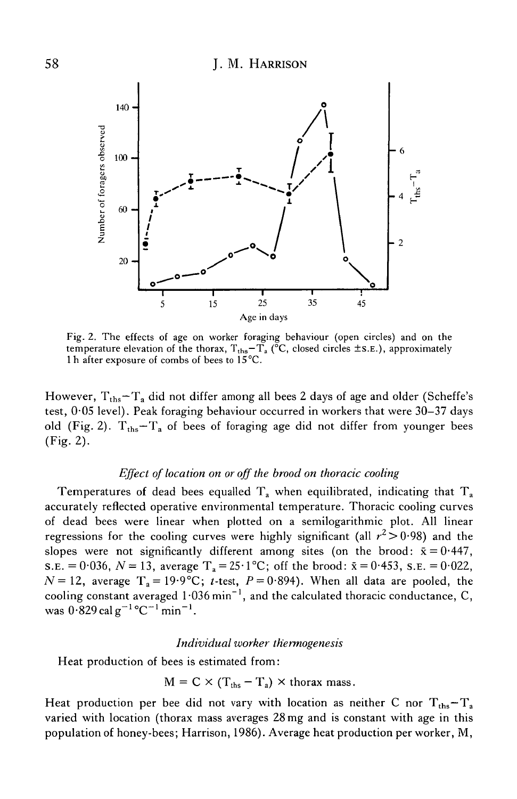

Fig. 2. The effects of age on worker foraging behaviour (open circles) and on the temperature elevation of the thorax,  $T_{\text{ths}} - T_a$  (°C, closed circles  $\pm$ s.E.), approximately 1 h after exposure of combs of bees to 15°C.

However,  $T_{\text{ths}} - T_a$  did not differ among all bees 2 days of age and older (Scheffe's test, 0-05 level). Peak foraging behaviour occurred in workers that were 30—37 days old (Fig. 2).  $T_{\text{ths}} - T_a$  of bees of foraging age did not differ from younger bees  $(Fig. 2)$ .

### *Effect of location on or off the brood on thoracic cooling*

Temperatures of dead bees equalled  $T_a$  when equilibrated, indicating that  $T_a$ accurately reflected operative environmental temperature. Thoracic cooling curves of dead bees were linear when plotted on a semilogarithmic plot. All linear regressions for the cooling curves were highly significant (all  $r^2 > 0.98$ ) and the slopes were not significantly different among sites (on the brood:  $\bar{x} = 0.447$ ,  $s.E. = 0.036, N = 13$ , average  $T_a = 25.1^{\circ}\text{C}$ ; off the brood:  $\bar{x} = 0.453$ ,  $s.E. = 0.022$ ,  $N=12$ , average  $T_a=19.9^{\circ}C$ ; t-test,  $P=0.894$ ). When all data are pooled, the cooling constant averaged  $1.036$  min<sup>-1</sup>, and the calculated thoracic conductance, C, was  $0.829$  cal g<sup>-1</sup>°C<sup>-1</sup> min<sup>-1</sup>.

#### *Individual worker th'ermogenesis*

Heat production of bees is estimated from:

$$
M = C \times (T_{\text{ths}} - T_a) \times \text{thorax mass}.
$$

Heat production per bee did not vary with location as neither C nor  $T_{\text{ths}} - T_a$ varied with location (thorax mass averages 28 mg and is constant with age in this population of honey-bees; Harrison, 1986). Average heat production per worker, M,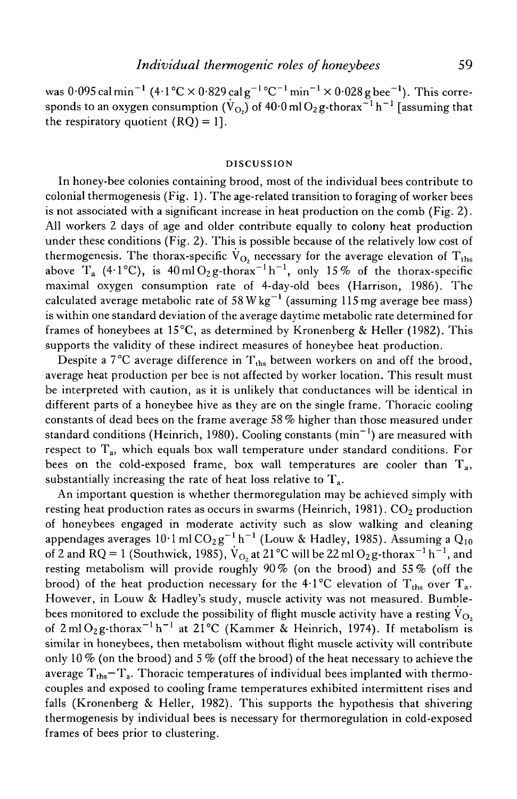was  $0.095$  cal min<sup>-1</sup> (4.1°C  $\times$  0.829 cal g<sup>-1</sup>°C<sup>-1</sup> min<sup>-1</sup>  $\times$  0.028 g bee<sup>-1</sup>). This corresponds to an oxygen consumption ( $\rm \dot{V}_{O_2}$ ) of 40·0 ml  $\rm O_2$ g-thorax $^{-1}$  h $^{-1}$  [assuming that the respiratory quotient  $(RQ) = 1$ .

#### DISCUSSION

In honey-bee colonies containing brood, most of the individual bees contribute to colonial thermogenesis (Fig. 1). The age-related transition to foraging of worker bees is not associated with a significant increase in heat production on the comb (Fig. 2). All workers 2 days of age and older contribute equally to colony heat production under these conditions (Fig. 2). This is possible because of the relatively low cost of thermogenesis. The thorax-specific  $V_{\text{O}_2}$  necessary for the average elevation of  $T_{\text{ths}}$ above T<sub>a</sub> (4.1°C), is  $40 \text{ ml O}_2 \text{g-thorax}^{-1} \text{h}^{-1}$ , only 15% of the thorax-specific maximal oxygen consumption rate of 4-day-old bees (Harrison, 1986). The calculated average metabolic rate of 58 W kg<sup>-1</sup> (assuming 115 mg average bee mass) is within one standard deviation of the average daytime metabolic rate determined for frames of honeybees at 15°C, as determined by Kronenberg & Heller (1982). This supports the validity of these indirect measures of honeybee heat production.

Despite a  $7^{\circ}$ C average difference in  $T_{\text{ths}}$  between workers on and off the brood, average heat production per bee is not affected by worker location. This result must be interpreted with caution, as it is unlikely that conductances will be identical in different parts of a honeybee hive as they are on the single frame. Thoracic cooling constants of dead bees on the frame average 58 % higher than those measured under standard conditions (Heinrich, 1980). Cooling constants (min $^{-1}$ ) are measured with respect to  $T_a$ , which equals box wall temperature under standard conditions. For bees on the cold-exposed frame, box wall temperatures are cooler than  $T_a$ , substantially increasing the rate of heat loss relative to  $T_a$ .

An important question is whether thermoregulation may be achieved simply with resting heat production rates as occurs in swarms (Heinrich, 1981).  $CO<sub>2</sub>$  production of honeybees engaged in moderate activity such as slow walking and cleaning appendages averages  $10\cdot 1$  ml  $\mathrm{CO}_2\,\mathrm{g}^{-1}\,\mathrm{h}^{-1}$  (Louw & Hadley, 1985). Assuming a  $\mathrm{Q}_{10}$ of 2 and RQ = 1 (Southwick, 1985),  $\dot{V}_{O_2}$  at 21 °C will be 22 ml O<sub>2</sub> g-thorax<sup>-1</sup> h<sup>-1</sup>, and resting metabolism will provide roughly 90 % (on the brood) and 55 *%* (off the brood) of the heat production necessary for the 4.1°C elevation of  $T_{\text{ths}}$  over  $T_a$ . However, in Louw & Hadley's study, muscle activity was not measured. Bumblebees monitored to exclude the possibility of flight muscle activity have a resting  $\dot{\text{V}}_{\text{O}_2}$ of  $2 \text{ ml O}_2$ g-thorax<sup>-1</sup> h<sup>-1</sup> at  $21^{\circ}$ C (Kammer & Heinrich, 1974). If metabolism is similar in honeybees, then metabolism without flight muscle activity will contribute only 10 % (on the brood) and 5 % (off the brood) of the heat necessary to achieve the average  $T_{\text{ths}} - T_a$ . Thoracic temperatures of individual bees implanted with thermocouples and exposed to cooling frame temperatures exhibited intermittent rises and falls (Kronenberg & Heller, 1982). This supports the hypothesis that shivering thermogenesis by individual bees is necessary for thermoregulation in cold-exposed frames of bees prior to clustering.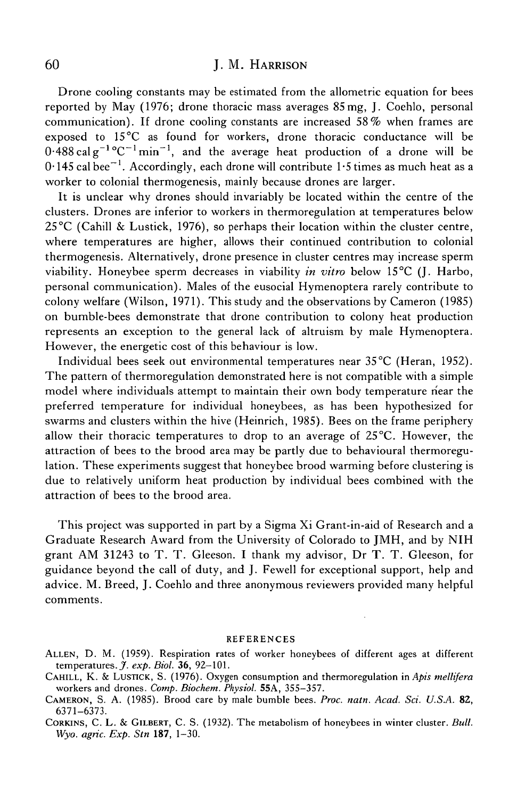#### 60 J. M. HARRISON

Drone cooling constants may be estimated from the allometric equation for bees reported by May (1976; drone thoracic mass averages 85 mg, J. Coehlo, personal communication). If drone cooling constants are increased 58% when frames are exposed to 15°C as found for workers, drone thoracic conductance will be  $0.488 \text{ cal g}^{-1} \text{°C}^{-1} \text{min}^{-1}$ , and the average heat production of a drone will be  $0.145$  cal bee $^{-1}$ . Accordingly, each drone will contribute 1.5 times as much heat as a worker to colonial thermogenesis, mainly because drones are larger.

It is unclear why drones should invariably be located within the centre of the clusters. Drones are inferior to workers in thermoregulation at temperatures below  $25^{\circ}$ C (Cahill & Lustick, 1976), so perhaps their location within the cluster centre, where temperatures are higher, allows their continued contribution to colonial thermogenesis. Alternatively, drone presence in cluster centres may increase sperm viability. Honeybee sperm decreases in viability *in vitro* below 15°C (J. Harbo, personal communication). Males of the eusocial Hymenoptera rarely contribute to colony welfare (Wilson, 1971). This study and the observations by Cameron (1985) on bumble-bees demonstrate that drone contribution to colony heat production represents an exception to the general lack of altruism by male Hymenoptera. However, the energetic cost of this behaviour is low.

Individual bees seek out environmental temperatures near 35 °C (Heran, 1952). The pattern of thermoregulation demonstrated here is not compatible with a simple model where individuals attempt to maintain their own body temperature near the preferred temperature for individual honeybees, as has been hypothesized for swarms and clusters within the hive (Heinrich, 1985). Bees on the frame periphery allow their thoracic temperatures to drop to an average of  $25^{\circ}$ C. However, the attraction of bees to the brood area may be partly due to behavioural thermoregulation. These experiments suggest that honeybee brood warming before clustering is due to relatively uniform heat production by individual bees combined with the attraction of bees to the brood area.

This project was supported in part by a Sigma Xi Grant-in-aid of Research and a Graduate Research Award from the University of Colorado to JMH, and by NIH grant AM 31243 to T. T. Gleeson. I thank my advisor, Dr T. T. Gleeson, for guidance beyond the call of duty, and J. Fewell for exceptional support, help and advice. M. Breed, J. Coehlo and three anonymous reviewers provided many helpful comments.

#### REFERENCES

- ALLEN, D. M. (1959). Respiration rates of worker honeybees of different ages at different temperatures. *J. exp. Biol.* 36, 92-101.
- CAHILL, K. & LUSTICK, S. (1976). Oxygen consumption and thermoregulation in *Apis mellifera* workers and drones. *Comp. Biochem. Physiol.* 55A, 355-357.
- CAMERON, S. A. (1985). Brood care by male bumble bees. *Proc. natn. Acad. Sci. U.SA.* 82, 6371-6373.
- CORKINS, C. L. & GILBERT, C. S. (1932). The metabolism of honeybees in winter cluster. *Bull. Wyo. agric. Exp. Stn* **187,** 1-30.